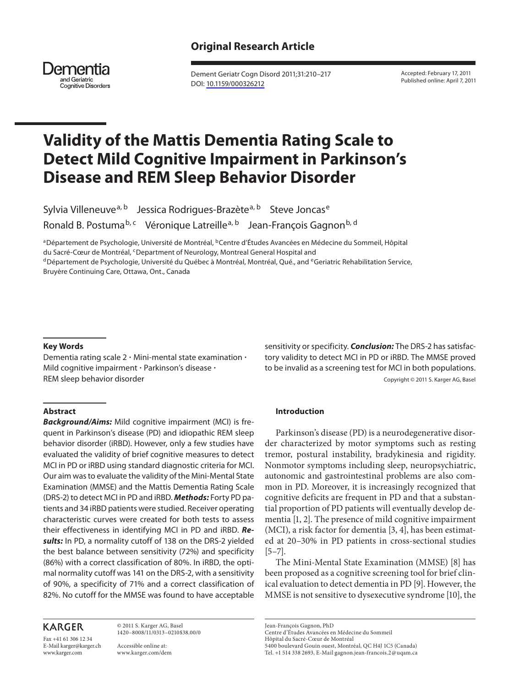# **Original Research Article**



 Dement Geriatr Cogn Disord 2011;31:210–217 DOI: [10.1159/000326212](http://dx.doi.org/10.1159%2F000326212)

 Accepted: February 17, 2011 Published online: April 7, 2011

# **Validity of the Mattis Dementia Rating Scale to Detect Mild Cognitive Impairment in Parkinson's Disease and REM Sleep Behavior Disorder**

Sylvia Villeneuve<sup>a, b</sup> Jessica Rodrigues-Brazète<sup>a, b</sup> Steve Joncas<sup>e</sup> Ronald B. Postuma<sup>b, c</sup> Véronique Latreille<sup>a, b</sup> Jean-François Gagnon<sup>b, d</sup>

<sup>a</sup> Département de Psychologie, Université de Montréal, <sup>b</sup> Centre d'Études Avancées en Médecine du Sommeil, Hôpital

du Sacré-Cœur de Montréal, <sup>c</sup> Department of Neurology, Montreal General Hospital and<br><sup>d</sup> Département de Psychologie, Université du Québec à Montréal, Montréal, Qué., and <sup>e</sup> Geriatric Rehabilitation Service,

Bruyère Continuing Care, Ottawa, Ont., Canada

## **Key Words**

Dementia rating scale  $2 \cdot$  Mini-mental state examination  $\cdot$ Mild cognitive impairment · Parkinson's disease · REM sleep behavior disorder

#### **Abstract**

*Background/Aims:* Mild cognitive impairment (MCI) is frequent in Parkinson's disease (PD) and idiopathic REM sleep behavior disorder (iRBD). However, only a few studies have evaluated the validity of brief cognitive measures to detect MCI in PD or iRBD using standard diagnostic criteria for MCI. Our aim was to evaluate the validity of the Mini-Mental State Examination (MMSE) and the Mattis Dementia Rating Scale (DRS-2) to detect MCI in PD and iRBD. *Methods:* Forty PD patients and 34 iRBD patients were studied. Receiver operating characteristic curves were created for both tests to assess their effectiveness in identifying MCI in PD and iRBD. *Results:* In PD, a normality cutoff of 138 on the DRS-2 yielded the best balance between sensitivity (72%) and specificity (86%) with a correct classification of 80%. In iRBD, the optimal normality cutoff was 141 on the DRS-2, with a sensitivity of 90%, a specificity of 71% and a correct classification of 82%. No cutoff for the MMSE was found to have acceptable

# **KARGER**

Fax +41 61 306 12 34 E-Mail karger@karger.ch www.karger.com

 © 2011 S. Karger AG, Basel 1420–8008/11/0313–0210\$38.00/0

 Accessible online at: www.karger.com/dem sensitivity or specificity. *Conclusion:* The DRS-2 has satisfactory validity to detect MCI in PD or iRBD. The MMSE proved to be invalid as a screening test for MCI in both populations. Copyright © 2011 S. Karger AG, Basel

## **Introduction**

 Parkinson's disease (PD) is a neurodegenerative disorder characterized by motor symptoms such as resting tremor, postural instability, bradykinesia and rigidity. Nonmotor symptoms including sleep, neuropsychiatric, autonomic and gastrointestinal problems are also common in PD. Moreover, it is increasingly recognized that cognitive deficits are frequent in PD and that a substantial proportion of PD patients will eventually develop dementia [1, 2]. The presence of mild cognitive impairment  $(MCI)$ , a risk factor for dementia  $[3, 4]$ , has been estimated at 20–30% in PD patients in cross-sectional studies  $[5-7]$ .

 The Mini-Mental State Examination (MMSE) [8] has been proposed as a cognitive screening tool for brief clinical evaluation to detect dementia in PD [9] . However, the MMSE is not sensitive to dysexecutive syndrome [10], the

Centre d'Études Avancées en Médecine du Sommeil

Hôpital du Sacré-Cœur de Montréal

Tel. +1 514 338 2693, E-Mail gagnon.jean-francois.2 @ uqam.ca

Jean-François Gagnon, PhD

 <sup>5400</sup> boulevard Gouin ouest, Montréal, QC H4J 1C5 (Canada)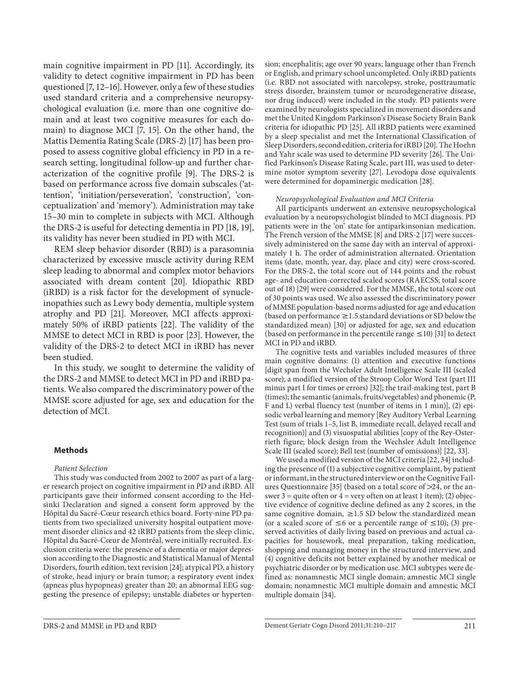main cognitive impairment in PD [11]. Accordingly, its validity to detect cognitive impairment in PD has been questioned [7, 12–16] . However, only a few of these studies used standard criteria and a comprehensive neuropsychological evaluation (i.e. more than one cognitive domain and at least two cognitive measures for each domain) to diagnose MCI [7, 15]. On the other hand, the Mattis Dementia Rating Scale (DRS-2) [17] has been proposed to assess cognitive global efficiency in PD in a research setting, longitudinal follow-up and further characterization of the cognitive profile [9]. The DRS-2 is based on performance across five domain subscales ('attention', 'initiation/perseveration', 'construction', 'conceptualization' and 'memory'). Administration may take 15–30 min to complete in subjects with MCI. Although the DRS-2 is useful for detecting dementia in PD [18, 19], its validity has never been studied in PD with MCI.

 REM sleep behavior disorder (RBD) is a parasomnia characterized by excessive muscle activity during REM sleep leading to abnormal and complex motor behaviors associated with dream content [20]. Idiopathic RBD (iRBD) is a risk factor for the development of synucleinopathies such as Lewy body dementia, multiple system atrophy and PD [21]. Moreover, MCI affects approximately 50% of iRBD patients [22]. The validity of the MMSE to detect MCI in RBD is poor [23] . However, the validity of the DRS-2 to detect MCI in iRBD has never been studied.

 In this study, we sought to determine the validity of the DRS-2 and MMSE to detect MCI in PD and iRBD patients. We also compared the discriminatory power of the MMSE score adjusted for age, sex and education for the detection of MCI.

## **Methods**

#### *Patient Selection*

 This study was conducted from 2002 to 2007 as part of a larger research project on cognitive impairment in PD and iRBD. All participants gave their informed consent according to the Helsinki Declaration and signed a consent form approved by the Hôpital du Sacré-Cœur research ethics board. Forty-nine PD patients from two specialized university hospital outpatient movement disorder clinics and 42 iRBD patients from the sleep clinic, Hôpital du Sacré-Cœur de Montréal, were initially recruited. Exclusion criteria were: the presence of a dementia or major depression according to the Diagnostic and Statistical Manual of Mental Disorders, fourth edition, text revision [24]; atypical PD, a history of stroke, head injury or brain tumor; a respiratory event index (apneas plus hypopneas) greater than 20; an abnormal EEG suggesting the presence of epilepsy; unstable diabetes or hypertension; encephalitis; age over 90 years; language other than French or English, and primary school uncompleted. Only iRBD patients (i.e. RBD not associated with narcolepsy, stroke, posttraumatic stress disorder, brainstem tumor or neurodegenerative disease, nor drug induced) were included in the study. PD patients were examined by neurologists specialized in movement disorders and met the United Kingdom Parkinson's Disease Society Brain Bank criteria for idiopathic PD [25] . All iRBD patients were examined by a sleep specialist and met the International Classification of Sleep Disorders, second edition, criteria for iRBD [20] . The Hoehn and Yahr scale was used to determine PD severity [26] . The Unified Parkinson's Disease Rating Scale, part III, was used to determine motor symptom severity [27]. Levodopa dose equivalents were determined for dopaminergic medication [28] .

#### *Neuropsychological Evaluation and MCI Criteria*

 All participants underwent an extensive neuropsychological evaluation by a neuropsychologist blinded to MCI diagnosis. PD patients were in the 'on' state for antiparkinsonian medication. The French version of the MMSE [8] and DRS-2 [17] were successively administered on the same day with an interval of approximately 1 h. The order of administration alternated. Orientation items (date, month, year, day, place and city) were cross-scored. For the DRS-2, the total score out of 144 points and the robust age- and education-corrected scaled scores (RAECSS; total score out of 18) [29] were considered. For the MMSE, the total score out of 30 points was used. We also assessed the discriminatory power of MMSE population-based norms adjusted for age and education (based on performance  $\geq$  1.5 standard deviations or SD below the standardized mean) [30] or adjusted for age, sex and education (based on performance in the percentile range  $\leq$  10) [31] to detect MCI in PD and iRBD.

 The cognitive tests and variables included measures of three main cognitive domains: (1) attention and executive functions [digit span from the Wechsler Adult Intelligence Scale III (scaled score); a modified version of the Stroop Color Word Test (part III minus part I for times or errors) [32]; the trail-making test, part B (times); the semantic (animals, fruits/vegetables) and phonemic (P, F and L) verbal fluency test (number of items in 1 min)], (2) episodic verbal learning and memory [Rey Auditory Verbal Learning Test (sum of trials 1–5, list B, immediate recall, delayed recall and recognition)] and (3) visuospatial abilities [copy of the Rey-Osterrieth figure; block design from the Wechsler Adult Intelligence Scale III (scaled score); Bell test (number of omissions)] [22, 33].

 We used a modified version of the MCI criteria [22, 34] including the presence of (1) a subjective cognitive complaint, by patient or informant, in the structured interview or on the Cognitive Failures Questionnaire [35] (based on a total score of  $\geq$ 24, or the answer 3 = quite often or  $4$  = very often on at least 1 item); (2) objective evidence of cognitive decline defined as any 2 scores, in the same cognitive domain,  $\geq$  1.5 SD below the standardized mean (or a scaled score of  $\leq 6$  or a percentile range of  $\leq 10$ ); (3) preserved activities of daily living based on previous and actual capacities for housework, meal preparation, taking medication, shopping and managing money in the structured interview, and (4) cognitive deficits not better explained by another medical or psychiatric disorder or by medication use. MCI subtypes were defined as: nonamnestic MCI single domain; amnestic MCI single domain; nonamnestic MCI multiple domain and amnestic MCI multiple domain [34].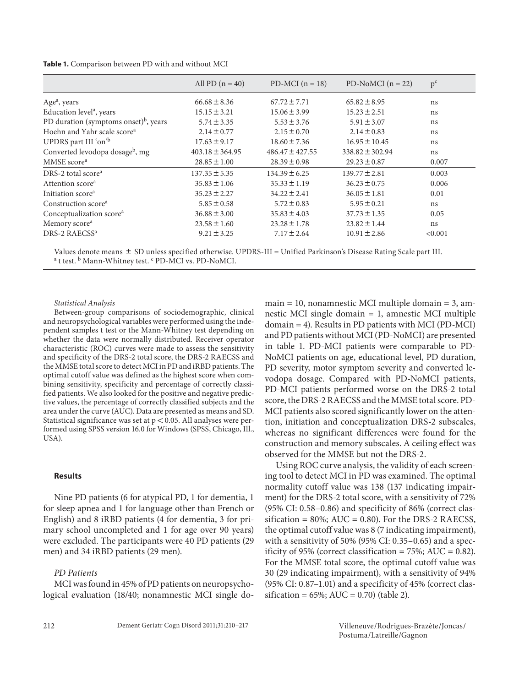**Table 1.** Comparison between PD with and without MCI

|                                                   | All PD $(n = 40)$   | PD-MCI $(n = 18)$   | PD-NoMCI $(n = 22)$ | $p^{c}$ |
|---------------------------------------------------|---------------------|---------------------|---------------------|---------|
| Age <sup>a</sup> , years                          | $66.68 \pm 8.36$    | $67.72 \pm 7.71$    | $65.82 \pm 8.95$    | ns      |
| Education level <sup>a</sup> , years              | $15.15 \pm 3.21$    | $15.06 \pm 3.99$    | $15.23 \pm 2.51$    | ns      |
| PD duration (symptoms onset) <sup>b</sup> , years | $5.74 \pm 3.35$     | $5.53 \pm 3.76$     | $5.91 \pm 3.07$     | ns      |
| Hoehn and Yahr scale score <sup>a</sup>           | $2.14 \pm 0.77$     | $2.15 \pm 0.70$     | $2.14 \pm 0.83$     | ns      |
| UPDRS part III 'on' <sup>b</sup>                  | $17.63 \pm 9.17$    | $18.60 \pm 7.36$    | $16.95 \pm 10.45$   | ns      |
| Converted levodopa dosage <sup>b</sup> , mg       | $403.18 \pm 364.95$ | $486.47 \pm 427.55$ | $338.82 \pm 302.94$ | ns      |
| MMSE score <sup>a</sup>                           | $28.85 \pm 1.00$    | $28.39 \pm 0.98$    | $29.23 \pm 0.87$    | 0.007   |
| DRS-2 total score <sup>a</sup>                    | $137.35 \pm 5.35$   | $134.39 \pm 6.25$   | $139.77 \pm 2.81$   | 0.003   |
| Attention score <sup>a</sup>                      | $35.83 \pm 1.06$    | $35.33 \pm 1.19$    | $36.23 \pm 0.75$    | 0.006   |
| Initiation score <sup>a</sup>                     | $35.23 \pm 2.27$    | $34.22 \pm 2.41$    | $36.05 \pm 1.81$    | 0.01    |
| Construction score <sup>a</sup>                   | $5.85 \pm 0.58$     | $5.72 \pm 0.83$     | $5.95 \pm 0.21$     | ns      |
| Conceptualization score <sup>a</sup>              | $36.88 \pm 3.00$    | $35.83 \pm 4.03$    | $37.73 \pm 1.35$    | 0.05    |
| Memory score <sup>a</sup>                         | $23.58 \pm 1.60$    | $23.28 \pm 1.78$    | $23.82 \pm 1.44$    | ns      |
| DRS-2 RAECSS <sup>a</sup>                         | $9.21 \pm 3.25$     | $7.17 \pm 2.64$     | $10.91 \pm 2.86$    | < 0.001 |

Values denote means  $\pm$  SD unless specified otherwise. UPDRS-III = Unified Parkinson's Disease Rating Scale part III. t test. <sup>b</sup> Mann-Whitney test. <sup>c</sup> PD-MCI vs. PD-NoMCI.

## *Statistical Analysis*

 Between-group comparisons of sociodemographic, clinical and neuropsychological variables were performed using the independent samples t test or the Mann-Whitney test depending on whether the data were normally distributed. Receiver operator characteristic (ROC) curves were made to assess the sensitivity and specificity of the DRS-2 total score, the DRS-2 RAECSS and the MMSE total score to detect MCI in PD and iRBD patients. The optimal cutoff value was defined as the highest score when combining sensitivity, specificity and percentage of correctly classified patients. We also looked for the positive and negative predictive values, the percentage of correctly classified subjects and the area under the curve (AUC). Data are presented as means and SD. Statistical significance was set at  $p < 0.05$ . All analyses were performed using SPSS version 16.0 for Windows (SPSS, Chicago, Ill., USA).

## **Results**

 Nine PD patients (6 for atypical PD, 1 for dementia, 1 for sleep apnea and 1 for language other than French or English) and 8 iRBD patients (4 for dementia, 3 for primary school uncompleted and 1 for age over 90 years) were excluded. The participants were 40 PD patients (29 men) and 34 iRBD patients (29 men).

# *PD Patients*

 MCI was found in 45% of PD patients on neuropsychological evaluation (18/40; nonamnestic MCI single do $main = 10$ , nonamnestic MCI multiple domain  $= 3$ , amnestic MCI single domain = 1, amnestic MCI multiple domain = 4). Results in PD patients with MCI (PD-MCI) and PD patients without MCI (PD-NoMCI) are presented in table 1. PD-MCI patients were comparable to PD-NoMCI patients on age, educational level, PD duration, PD severity, motor symptom severity and converted levodopa dosage. Compared with PD-NoMCI patients, PD-MCI patients performed worse on the DRS-2 total score, the DRS-2 RAECSS and the MMSE total score. PD-MCI patients also scored significantly lower on the attention, initiation and conceptualization DRS-2 subscales, whereas no significant differences were found for the construction and memory subscales. A ceiling effect was observed for the MMSE but not the DRS-2.

 Using ROC curve analysis, the validity of each screening tool to detect MCI in PD was examined. The optimal normality cutoff value was 138 (137 indicating impairment) for the DRS-2 total score, with a sensitivity of 72% (95% CI: 0.58–0.86) and specificity of 86% (correct classification =  $80\%$ ; AUC = 0.80). For the DRS-2 RAECSS, the optimal cutoff value was 8 (7 indicating impairment), with a sensitivity of 50% (95% CI: 0.35–0.65) and a specificity of 95% (correct classification = 75%; AUC =  $0.82$ ). For the MMSE total score, the optimal cutoff value was 30 (29 indicating impairment), with a sensitivity of 94% (95% CI: 0.87–1.01) and a specificity of 45% (correct classification =  $65\%$ ; AUC = 0.70) (table 2).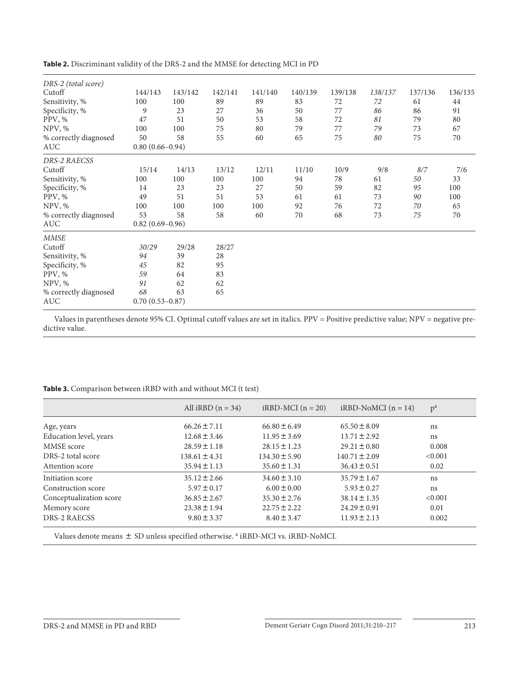| DRS-2 (total score)   |                     |                     |         |         |         |         |         |         |         |
|-----------------------|---------------------|---------------------|---------|---------|---------|---------|---------|---------|---------|
| Cutoff                | 144/143             | 143/142             | 142/141 | 141/140 | 140/139 | 139/138 | 138/137 | 137/136 | 136/135 |
| Sensitivity, %        | 100                 | 100                 | 89      | 89      | 83      | 72      | 72      | 61      | 44      |
| Specificity, %        | 9                   | 23                  | 27      | 36      | 50      | 77      | 86      | 86      | 91      |
| PPV, %                | 47                  | 51                  | 50      | 53      | 58      | 72      | 81      | 79      | 80      |
| NPV, %                | 100                 | 100                 | 75      | 80      | 79      | 77      | 79      | 73      | 67      |
| % correctly diagnosed | 50                  | 58                  | 55      | 60      | 65      | 75      | 80      | 75      | 70      |
| AUC                   |                     | $0.80(0.66 - 0.94)$ |         |         |         |         |         |         |         |
| DRS-2 RAECSS          |                     |                     |         |         |         |         |         |         |         |
| Cutoff                | 15/14               | 14/13               | 13/12   | 12/11   | 11/10   | 10/9    | 9/8     | $8/7\,$ | 7/6     |
| Sensitivity, %        | 100                 | 100                 | 100     | 100     | 94      | 78      | 61      | 50      | 33      |
| Specificity, %        | 14                  | 23                  | 23      | 27      | 50      | 59      | 82      | 95      | 100     |
| PPV, %                | 49                  | 51                  | 51      | 53      | 61      | 61      | 73      | 90      | 100     |
| NPV, %                | 100                 | 100                 | 100     | 100     | 92      | 76      | 72      | 70      | 65      |
| % correctly diagnosed | 53                  | 58                  | 58      | 60      | 70      | 68      | 73      | 75      | 70      |
| AUC                   | $0.82(0.69 - 0.96)$ |                     |         |         |         |         |         |         |         |
| <b>MMSE</b>           |                     |                     |         |         |         |         |         |         |         |
| Cutoff                | 30/29               | 29/28               | 28/27   |         |         |         |         |         |         |
| Sensitivity, %        | 94                  | 39                  | 28      |         |         |         |         |         |         |
| Specificity, %        | 45                  | 82                  | 95      |         |         |         |         |         |         |
| PPV, %                | 59                  | 64                  | 83      |         |         |         |         |         |         |
| NPV, %                | 91                  | 62                  | 62      |         |         |         |         |         |         |
| % correctly diagnosed | 68                  | 63                  | 65      |         |         |         |         |         |         |
| AUC                   | $0.70(0.53 - 0.87)$ |                     |         |         |         |         |         |         |         |

Values in parentheses denote 95% CI. Optimal cutoff values are set in italics. PPV = Positive predictive value; NPV = negative predictive value.

# Table 3. Comparison between iRBD with and without MCI (t test)

|                         | All iRBD $(n = 34)$ | $iRBD-MCI (n = 20)$ | $iRBD-NoMCI$ ( $n = 14$ ) | $p^a$   |
|-------------------------|---------------------|---------------------|---------------------------|---------|
| Age, years              | $66.26 \pm 7.11$    | $66.80 \pm 6.49$    | $65.50 \pm 8.09$          | ns      |
| Education level, years  | $12.68 \pm 3.46$    | $11.95 \pm 3.69$    | $13.71 \pm 2.92$          | ns      |
| MMSE score              | $28.59 \pm 1.18$    | $28.15 \pm 1.23$    | $29.21 \pm 0.80$          | 0.008   |
| DRS-2 total score       | $138.61 \pm 4.31$   | $134.30 \pm 5.90$   | $140.71 \pm 2.09$         | < 0.001 |
| Attention score         | $35.94 \pm 1.13$    | $35.60 \pm 1.31$    | $36.43 \pm 0.51$          | 0.02    |
| Initiation score        | $35.12 \pm 2.66$    | $34.60 \pm 3.10$    | $35.79 \pm 1.67$          | ns      |
| Construction score      | $5.97 \pm 0.17$     | $6.00 \pm 0.00$     | $5.93 \pm 0.27$           | ns      |
| Conceptualization score | $36.85 \pm 2.67$    | $35.30 \pm 2.76$    | $38.14 \pm 1.35$          | < 0.001 |
| Memory score            | $23.38 \pm 1.94$    | $22.75 \pm 2.22$    | $24.29 \pm 0.91$          | 0.01    |
| <b>DRS-2 RAECSS</b>     | $9.80 \pm 3.37$     | $8.40 \pm 3.47$     | $11.93 \pm 2.13$          | 0.002   |

Values denote means  $\pm$  SD unless specified otherwise. <sup>a</sup> iRBD-MCI vs. iRBD-NoMCI.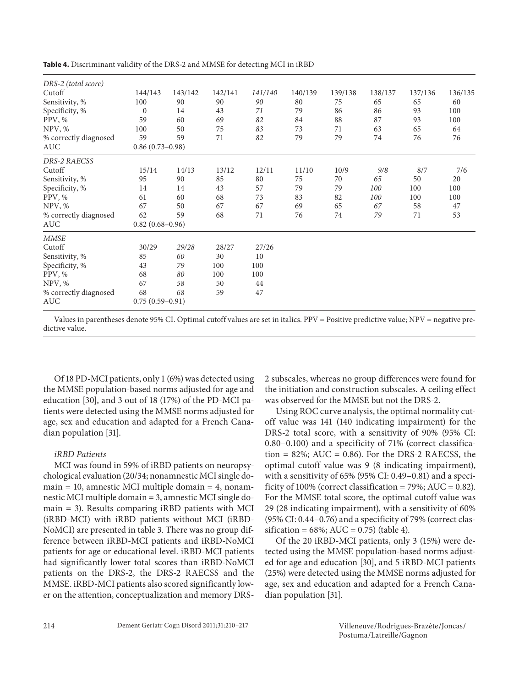|  | Table 4. Discriminant validity of the DRS-2 and MMSE for detecting MCI in iRBD |  |
|--|--------------------------------------------------------------------------------|--|
|--|--------------------------------------------------------------------------------|--|

| DRS-2 (total score)   |                   |                     |         |         |         |         |         |         |         |
|-----------------------|-------------------|---------------------|---------|---------|---------|---------|---------|---------|---------|
| Cutoff                | 144/143           | 143/142             | 142/141 | 141/140 | 140/139 | 139/138 | 138/137 | 137/136 | 136/135 |
| Sensitivity, %        | 100               | 90                  | 90      | 90      | 80      | 75      | 65      | 65      | 60      |
| Specificity, %        | $\mathbf{0}$      | 14                  | 43      | 71      | 79      | 86      | 86      | 93      | 100     |
| PPV, %                | 59                | 60                  | 69      | 82      | 84      | 88      | 87      | 93      | 100     |
| NPV, %                | 100               | 50                  | 75      | 83      | 73      | 71      | 63      | 65      | 64      |
| % correctly diagnosed | 59                | 59                  | 71      | 82      | 79      | 79      | 74      | 76      | 76      |
| AUC                   |                   | $0.86(0.73-0.98)$   |         |         |         |         |         |         |         |
| DRS-2 RAECSS          |                   |                     |         |         |         |         |         |         |         |
| Cutoff                | 15/14             | 14/13               | 13/12   | 12/11   | 11/10   | 10/9    | 9/8     | 8/7     | 7/6     |
| Sensitivity, %        | 95                | 90                  | 85      | 80      | 75      | 70      | 65      | 50      | 20      |
| Specificity, %        | 14                | 14                  | 43      | 57      | 79      | 79      | 100     | 100     | 100     |
| PPV, %                | 61                | 60                  | 68      | 73      | 83      | 82      | 100     | 100     | 100     |
| NPV, %                | 67                | 50                  | 67      | 67      | 69      | 65      | 67      | 58      | 47      |
| % correctly diagnosed | 62                | 59                  | 68      | 71      | 76      | 74      | 79      | 71      | 53      |
| AUC                   |                   | $0.82(0.68 - 0.96)$ |         |         |         |         |         |         |         |
| <b>MMSE</b>           |                   |                     |         |         |         |         |         |         |         |
| Cutoff                | 30/29             | 29/28               | 28/27   | 27/26   |         |         |         |         |         |
| Sensitivity, %        | 85                | 60                  | 30      | 10      |         |         |         |         |         |
| Specificity, %        | 43                | 79                  | 100     | 100     |         |         |         |         |         |
| PPV, %                | 68                | 80                  | 100     | 100     |         |         |         |         |         |
| NPV, %                | 67                | 58                  | 50      | 44      |         |         |         |         |         |
| % correctly diagnosed | 68                | 68                  | 59      | 47      |         |         |         |         |         |
| AUC                   | $0.75(0.59-0.91)$ |                     |         |         |         |         |         |         |         |

Values in parentheses denote 95% CI. Optimal cutoff values are set in italics. PPV = Positive predictive value; NPV = negative predictive value.

 Of 18 PD-MCI patients, only 1 (6%) was detected using the MMSE population-based norms adjusted for age and education [30], and 3 out of 18 (17%) of the PD-MCI patients were detected using the MMSE norms adjusted for age, sex and education and adapted for a French Canadian population [31].

# *iRBD Patients*

 MCI was found in 59% of iRBD patients on neuropsychological evaluation (20/34; nonamnestic MCI single do $main = 10$ , amnestic MCI multiple domain  $= 4$ , nonamnestic MCI multiple domain = 3, amnestic MCI single domain = 3). Results comparing iRBD patients with MCI (iRBD-MCI) with iRBD patients without MCI (iRBD-NoMCI) are presented in table 3. There was no group difference between iRBD-MCI patients and iRBD-NoMCI patients for age or educational level. iRBD-MCI patients had significantly lower total scores than iRBD-NoMCI patients on the DRS-2, the DRS-2 RAECSS and the MMSE. iRBD-MCI patients also scored significantly lower on the attention, conceptualization and memory DRS- 2 subscales, whereas no group differences were found for the initiation and construction subscales. A ceiling effect was observed for the MMSE but not the DRS-2.

 Using ROC curve analysis, the optimal normality cutoff value was 141 (140 indicating impairment) for the DRS-2 total score, with a sensitivity of 90% (95% CI: 0.80–0.100) and a specificity of 71% (correct classification =  $82\%$ ; AUC = 0.86). For the DRS-2 RAECSS, the optimal cutoff value was 9 (8 indicating impairment), with a sensitivity of 65% (95% CI: 0.49–0.81) and a specificity of 100% (correct classification = 79%; AUC =  $0.82$ ). For the MMSE total score, the optimal cutoff value was 29 (28 indicating impairment), with a sensitivity of 60% (95% CI: 0.44–0.76) and a specificity of 79% (correct classification =  $68\%$ ; AUC = 0.75) (table 4).

 Of the 20 iRBD-MCI patients, only 3 (15%) were detected using the MMSE population-based norms adjusted for age and education [30], and 5 iRBD-MCI patients (25%) were detected using the MMSE norms adjusted for age, sex and education and adapted for a French Canadian population [31].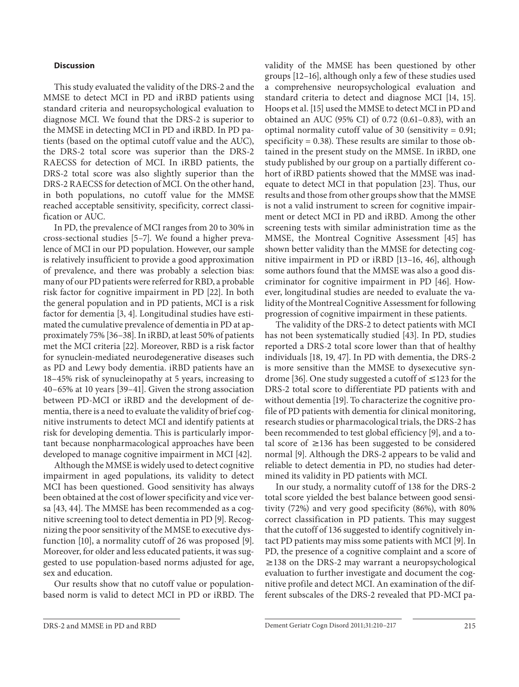## **Discussion**

 This study evaluated the validity of the DRS-2 and the MMSE to detect MCI in PD and iRBD patients using standard criteria and neuropsychological evaluation to diagnose MCI. We found that the DRS-2 is superior to the MMSE in detecting MCI in PD and iRBD. In PD patients (based on the optimal cutoff value and the AUC), the DRS-2 total score was superior than the DRS-2 RAECSS for detection of MCI. In iRBD patients, the DRS-2 total score was also slightly superior than the DRS-2 RAECSS for detection of MCI. On the other hand, in both populations, no cutoff value for the MMSE reached acceptable sensitivity, specificity, correct classification or AUC.

 In PD, the prevalence of MCI ranges from 20 to 30% in cross-sectional studies [5–7] . We found a higher prevalence of MCI in our PD population. However, our sample is relatively insufficient to provide a good approximation of prevalence, and there was probably a selection bias: many of our PD patients were referred for RBD, a probable risk factor for cognitive impairment in PD [22]. In both the general population and in PD patients, MCI is a risk factor for dementia [3, 4]. Longitudinal studies have estimated the cumulative prevalence of dementia in PD at approximately 75% [36–38] . In iRBD, at least 50% of patients met the MCI criteria [22] . Moreover, RBD is a risk factor for synuclein-mediated neurodegenerative diseases such as PD and Lewy body dementia. iRBD patients have an 18–45% risk of synucleinopathy at 5 years, increasing to 40–65% at 10 years [39–41] . Given the strong association between PD-MCI or iRBD and the development of dementia, there is a need to evaluate the validity of brief cognitive instruments to detect MCI and identify patients at risk for developing dementia. This is particularly important because nonpharmacological approaches have been developed to manage cognitive impairment in MCI [42] .

 Although the MMSE is widely used to detect cognitive impairment in aged populations, its validity to detect MCI has been questioned. Good sensitivity has always been obtained at the cost of lower specificity and vice versa [43, 44]. The MMSE has been recommended as a cognitive screening tool to detect dementia in PD [9]. Recognizing the poor sensitivity of the MMSE to executive dysfunction [10], a normality cutoff of 26 was proposed [9]. Moreover, for older and less educated patients, it was suggested to use population-based norms adjusted for age, sex and education.

 Our results show that no cutoff value or populationbased norm is valid to detect MCI in PD or iRBD. The validity of the MMSE has been questioned by other groups [12–16] , although only a few of these studies used a comprehensive neuropsychological evaluation and standard criteria to detect and diagnose MCI [14, 15] . Hoops et al. [15] used the MMSE to detect MCI in PD and obtained an AUC (95% CI) of 0.72 (0.61–0.83), with an optimal normality cutoff value of 30 (sensitivity = 0.91; specificity  $= 0.38$ ). These results are similar to those obtained in the present study on the MMSE. In iRBD, one study published by our group on a partially different cohort of iRBD patients showed that the MMSE was inadequate to detect MCI in that population [23]. Thus, our results and those from other groups show that the MMSE is not a valid instrument to screen for cognitive impairment or detect MCI in PD and iRBD. Among the other screening tests with similar administration time as the MMSE, the Montreal Cognitive Assessment [45] has shown better validity than the MMSE for detecting cognitive impairment in PD or iRBD [13-16, 46], although some authors found that the MMSE was also a good discriminator for cognitive impairment in PD [46]. However, longitudinal studies are needed to evaluate the validity of the Montreal Cognitive Assessment for following progression of cognitive impairment in these patients.

 The validity of the DRS-2 to detect patients with MCI has not been systematically studied [43]. In PD, studies reported a DRS-2 total score lower than that of healthy individuals [18, 19, 47]. In PD with dementia, the DRS-2 is more sensitive than the MMSE to dysexecutive syndrome [36]. One study suggested a cutoff of  $\leq$  123 for the DRS-2 total score to differentiate PD patients with and without dementia [19]. To characterize the cognitive profile of PD patients with dementia for clinical monitoring, research studies or pharmacological trials, the DRS-2 has been recommended to test global efficiency [9], and a total score of  $\geq$ 136 has been suggested to be considered normal [9]. Although the DRS-2 appears to be valid and reliable to detect dementia in PD, no studies had determined its validity in PD patients with MCI.

 In our study, a normality cutoff of 138 for the DRS-2 total score yielded the best balance between good sensitivity (72%) and very good specificity (86%), with 80% correct classification in PD patients. This may suggest that the cutoff of 136 suggested to identify cognitively intact PD patients may miss some patients with MCI [9]. In PD, the presence of a cognitive complaint and a score of  $\geq$ 138 on the DRS-2 may warrant a neuropsychological evaluation to further investigate and document the cognitive profile and detect MCI. An examination of the different subscales of the DRS-2 revealed that PD-MCI pa-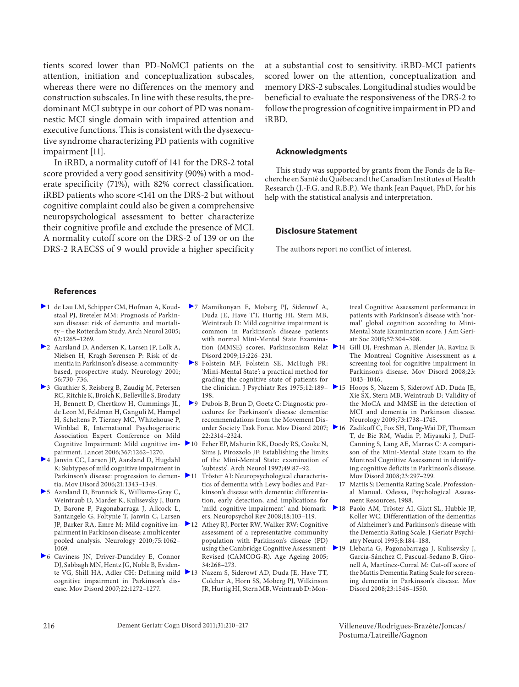tients scored lower than PD-NoMCI patients on the attention, initiation and conceptualization subscales, whereas there were no differences on the memory and construction subscales. In line with these results, the predominant MCI subtype in our cohort of PD was nonamnestic MCI single domain with impaired attention and executive functions. This is consistent with the dysexecutive syndrome characterizing PD patients with cognitive impairment [11].

 In iRBD, a normality cutoff of 141 for the DRS-2 total score provided a very good sensitivity (90%) with a moderate specificity (71%), with 82% correct classification.  $iRBD$  patients who score <141 on the DRS-2 but without cognitive complaint could also be given a comprehensive neuropsychological assessment to better characterize their cognitive profile and exclude the presence of MCI. A normality cutoff score on the DRS-2 of 139 or on the DRS-2 RAECSS of 9 would provide a higher specificity at a substantial cost to sensitivity. iRBD-MCI patients scored lower on the attention, conceptualization and memory DRS-2 subscales. Longitudinal studies would be beneficial to evaluate the responsiveness of the DRS-2 to follow the progression of cognitive impairment in PD and iRBD.

#### **Acknowledgments**

 This study was supported by grants from the Fonds de la Recherche en Santé du Québec and the Canadian Institutes of Health Research (J.-F.G. and R.B.P.). We thank Jean Paquet, PhD, for his help with the statistical analysis and interpretation.

#### **Disclosure Statement**

The authors report no conflict of interest.

#### **References**

- 1 de Lau LM, Schipper CM, Hofman A, Koudstaal PJ, Breteler MM: Prognosis of Parkinson disease: risk of dementia and mortali ty – the Rotterdam Study. Arch Neurol 2005; 62:1265–1269.
- ▶ 2 Aarsland D, Andersen K, Larsen JP, Lolk A, Nielsen H, Kragh-Sørensen P: Risk of dementia in Parkinson's disease: a communitybased, prospective study. Neurology 2001; 56:730–736.
- 3 Gauthier S, Reisberg B, Zaudig M, Petersen RC, Ritchie K, Broich K, Belleville S, Brodaty H, Bennett D, Chertkow H, Cummings JL, de Leon M, Feldman H, Ganguli M, Hampel H, Scheltens P, Tierney MC, Whitehouse P, Winblad B, International Psychogeriatric Association Expert Conference on Mild Cognitive Impairment: Mild cognitive impairment. Lancet 2006;367:1262–1270.
- 4 Janvin CC, Larsen JP, Aarsland D, Hugdahl K: Subtypes of mild cognitive impairment in Parkinson's disease: progression to dementia. Mov Disord 2006;21:1343–1349.
- 5 Aarsland D, Bronnick K, Williams-Gray C, Weintraub D, Marder K, Kulisevsky J, Burn D, Barone P, Pagonabarraga J, Allcock L, Santangelo G, Foltynie T, Janvin C, Larsen pairment in Parkinson disease: a multicenter pooled analysis. Neurology 2010;75:1062– 1069.
- 6 Caviness JN, Driver-Dunckley E, Connor DJ, Sabbagh MN, Hentz JG, Noble B, Evidencognitive impairment in Parkinson's disease. Mov Disord 2007;22:1272–1277.
- 7 Mamikonyan E, Moberg PJ, Siderowf A, Duda JE, Have TT, Hurtig HI, Stern MB, Weintraub D: Mild cognitive impairment is common in Parkinson's disease patients with normal Mini-Mental State Examination (MMSE) scores. Parkinsonism Relat 214 Disord 2009;15:226–231.
- 8 Folstein MF, Folstein SE, McHugh PR: 'Mini-Mental State': a practical method for grading the cognitive state of patients for 198.
- 9 Dubois B, Brun D, Goetz C: Diagnostic procedures for Parkinson's disease dementia: recommendations from the Movement Dis-22:2314–2324.
- 10 Feher EP, Mahurin RK, Doody RS, Cooke N, Sims J, Pirozzolo JF: Establishing the limits of the Mini-Mental State: examination of 'subtests'. Arch Neurol 1992;49:87–92.
- 11 Tröster AI: Neuropsychological characteristics of dementia with Lewy bodies and Parkinson's disease with dementia: differentiation, early detection, and implications for 'mild cognitive impairment' and biomarkers. Neuropsychol Rev 2008;18:103–119.
- JP, Barker RA, Emre M: Mild cognitive im- 12 Athey RJ, Porter RW, Walker RW: Cognitive assessment of a representative community population with Parkinson's disease (PD) using the Cambridge Cognitive Assessment-Revised (CAMCOG-R). Age Ageing 2005; 34:268–273.
- te VG, Shill HA, Adler CH: Defining mild 13 Nazem S, Siderowf AD, Duda JE, Have TT, Colcher A, Horn SS, Moberg PJ, Wilkinson JR, Hurtig HI, Stern MB, Weintraub D: Mon-

treal Cognitive Assessment performance in patients with Parkinson's disease with 'normal' global cognition according to Mini-Mental State Examination score. J Am Geriatr Soc 2009;57:304–308.

- Gill DJ, Freshman A, Blender JA, Ravina B: The Montreal Cognitive Assessment as a screening tool for cognitive impairment in Parkinson's disease. Mov Disord 2008;23: 1043–1046.
- the clinician. J Psychiatr Res 1975;12:189– 15 Hoops S, Nazem S, Siderowf AD, Duda JE, Xie SX, Stern MB, Weintraub D: Validity of the MoCA and MMSE in the detection of MCI and dementia in Parkinson disease. Neurology 2009;73:1738–1745.
- order Society Task Force. Mov Disord 2007; 16 Zadikoff C, Fox SH, Tang-Wai DF, Thomsen T, de Bie RM, Wadia P, Miyasaki J, Duff-Canning S, Lang AE, Marras C: A comparison of the Mini-Mental State Exam to the Montreal Cognitive Assessment in identifying cognitive deficits in Parkinson's disease. Mov Disord 2008;23:297–299.
	- 17 Mattis S: Dementia Rating Scale. Professional Manual. Odessa, Psychological Assessment Resources, 1988.
	- 18 Paolo AM, Tröster AI, Glatt SL, Hubble JP, Koller WC: Differentiation of the dementias of Alzheimer's and Parkinson's disease with the Dementia Rating Scale. J Geriatr Psychiatry Neurol 1995;8:184–188.
	- 19 Llebaria G, Pagonabarraga J, Kulisevsky J, García-Sánchez C, Pascual-Sedano B, Gironell A, Martínez-Corral M: Cut-off score of the Mattis Dementia Rating Scale for screening dementia in Parkinson's disease. Mov Disord 2008;23:1546–1550.